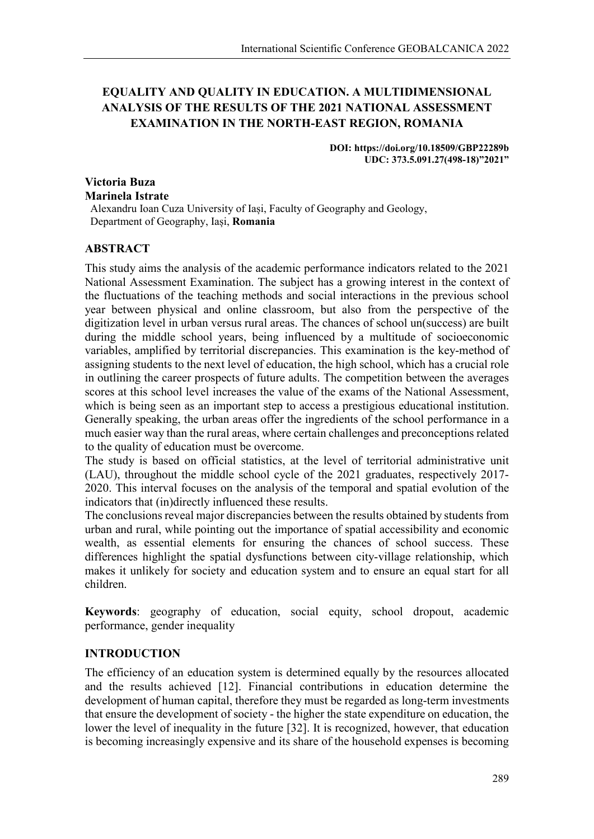# **EQUALITY AND QUALITY IN EDUCATION. A MULTIDIMENSIONAL ANALYSIS OF THE RESULTS OF THE 2021 NATIONAL ASSESSMENT EXAMINATION IN THE NORTH-EAST REGION, ROMANIA**

**DOI: https://doi.org/10.18509/GBP22289b UDC: 373.5.091.27(498-18)"2021"**

# **Victoria Buza Marinela Istrate**

Alexandru Ioan Cuza University of Iași, Faculty of Geography and Geology, Department of Geography, Iași, **Romania**

# **ABSTRACT**

This study aims the analysis of the academic performance indicators related to the 2021 National Assessment Examination. The subject has a growing interest in the context of the fluctuations of the teaching methods and social interactions in the previous school year between physical and online classroom, but also from the perspective of the digitization level in urban versus rural areas. The chances of school un(success) are built during the middle school years, being influenced by a multitude of socioeconomic variables, amplified by territorial discrepancies. This examination is the key-method of assigning students to the next level of education, the high school, which has a crucial role in outlining the career prospects of future adults. The competition between the averages scores at this school level increases the value of the exams of the National Assessment, which is being seen as an important step to access a prestigious educational institution. Generally speaking, the urban areas offer the ingredients of the school performance in a much easier way than the rural areas, where certain challenges and preconceptions related to the quality of education must be overcome.

The study is based on official statistics, at the level of territorial administrative unit (LAU), throughout the middle school cycle of the 2021 graduates, respectively 2017- 2020. This interval focuses on the analysis of the temporal and spatial evolution of the indicators that (in)directly influenced these results.

The conclusions reveal major discrepancies between the results obtained by students from urban and rural, while pointing out the importance of spatial accessibility and economic wealth, as essential elements for ensuring the chances of school success. These differences highlight the spatial dysfunctions between city-village relationship, which makes it unlikely for society and education system and to ensure an equal start for all children.

**Keywords**: geography of education, social equity, school dropout, academic performance, gender inequality

# **INTRODUCTION**

The efficiency of an education system is determined equally by the resources allocated and the results achieved [12]. Financial contributions in education determine the development of human capital, therefore they must be regarded as long-term investments that ensure the development of society - the higher the state expenditure on education, the lower the level of inequality in the future [32]. It is recognized, however, that education is becoming increasingly expensive and its share of the household expenses is becoming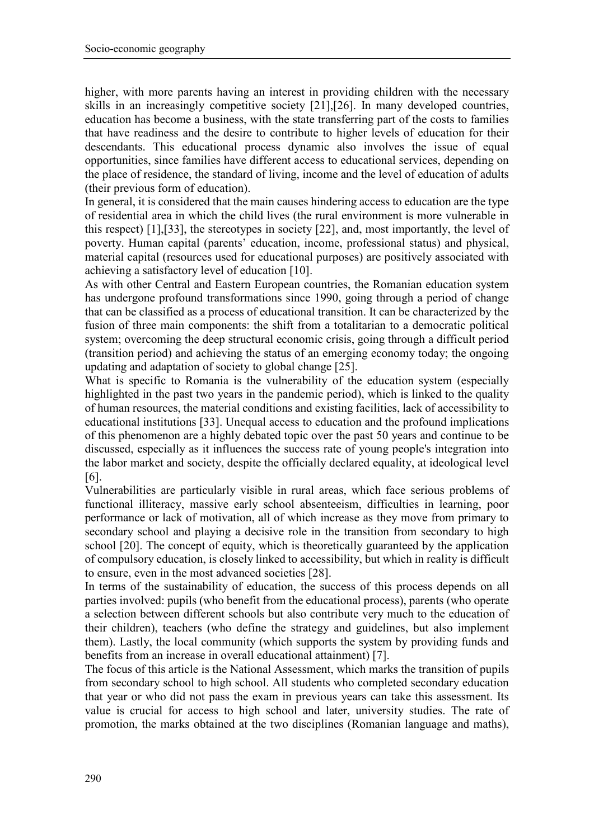higher, with more parents having an interest in providing children with the necessary skills in an increasingly competitive society [21],[26]. In many developed countries, education has become a business, with the state transferring part of the costs to families that have readiness and the desire to contribute to higher levels of education for their descendants. This educational process dynamic also involves the issue of equal opportunities, since families have different access to educational services, depending on the place of residence, the standard of living, income and the level of education of adults (their previous form of education).

In general, it is considered that the main causes hindering access to education are the type of residential area in which the child lives (the rural environment is more vulnerable in this respect) [1],[33], the stereotypes in society [22], and, most importantly, the level of poverty. Human capital (parents' education, income, professional status) and physical, material capital (resources used for educational purposes) are positively associated with achieving a satisfactory level of education [10].

As with other Central and Eastern European countries, the Romanian education system has undergone profound transformations since 1990, going through a period of change that can be classified as a process of educational transition. It can be characterized by the fusion of three main components: the shift from a totalitarian to a democratic political system; overcoming the deep structural economic crisis, going through a difficult period (transition period) and achieving the status of an emerging economy today; the ongoing updating and adaptation of society to global change [25].

What is specific to Romania is the vulnerability of the education system (especially highlighted in the past two years in the pandemic period), which is linked to the quality of human resources, the material conditions and existing facilities, lack of accessibility to educational institutions [33]. Unequal access to education and the profound implications of this phenomenon are a highly debated topic over the past 50 years and continue to be discussed, especially as it influences the success rate of young people's integration into the labor market and society, despite the officially declared equality, at ideological level [6].

Vulnerabilities are particularly visible in rural areas, which face serious problems of functional illiteracy, massive early school absenteeism, difficulties in learning, poor performance or lack of motivation, all of which increase as they move from primary to secondary school and playing a decisive role in the transition from secondary to high school [20]. The concept of equity, which is theoretically guaranteed by the application of compulsory education, is closely linked to accessibility, but which in reality is difficult to ensure, even in the most advanced societies [28].

In terms of the sustainability of education, the success of this process depends on all parties involved: pupils (who benefit from the educational process), parents (who operate a selection between different schools but also contribute very much to the education of their children), teachers (who define the strategy and guidelines, but also implement them). Lastly, the local community (which supports the system by providing funds and benefits from an increase in overall educational attainment) [7].

The focus of this article is the National Assessment, which marks the transition of pupils from secondary school to high school. All students who completed secondary education that year or who did not pass the exam in previous years can take this assessment. Its value is crucial for access to high school and later, university studies. The rate of promotion, the marks obtained at the two disciplines (Romanian language and maths),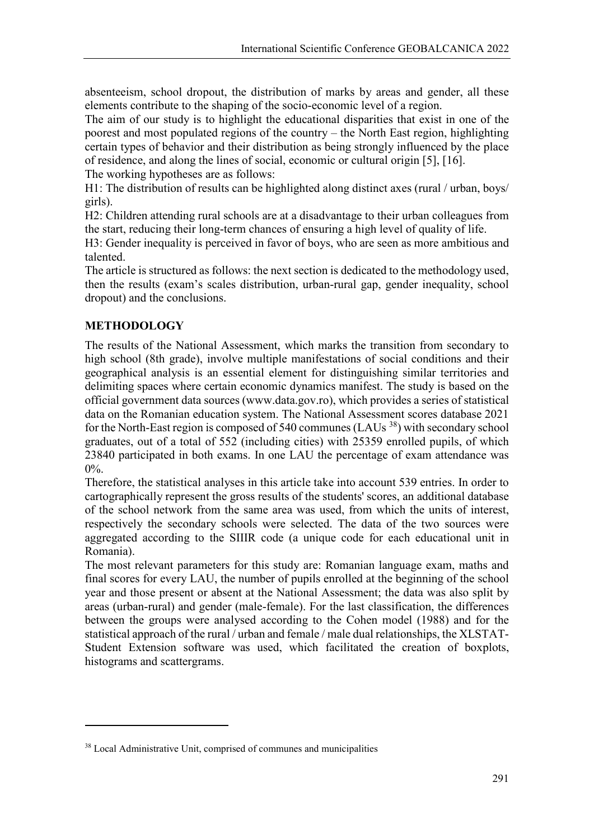absenteeism, school dropout, the distribution of marks by areas and gender, all these elements contribute to the shaping of the socio-economic level of a region.

The aim of our study is to highlight the educational disparities that exist in one of the poorest and most populated regions of the country – the North East region, highlighting certain types of behavior and their distribution as being strongly influenced by the place of residence, and along the lines of social, economic or cultural origin [5], [16].

The working hypotheses are as follows:

H1: The distribution of results can be highlighted along distinct axes (rural / urban, boys/ girls).

H2: Children attending rural schools are at a disadvantage to their urban colleagues from the start, reducing their long-term chances of ensuring a high level of quality of life.

H3: Gender inequality is perceived in favor of boys, who are seen as more ambitious and talented.

The article is structured as follows: the next section is dedicated to the methodology used, then the results (exam's scales distribution, urban-rural gap, gender inequality, school dropout) and the conclusions.

# **METHODOLOGY**

**.** 

The results of the National Assessment, which marks the transition from secondary to high school (8th grade), involve multiple manifestations of social conditions and their geographical analysis is an essential element for distinguishing similar territories and delimiting spaces where certain economic dynamics manifest. The study is based on the official government data sources (www.data.gov.ro), which provides a series of statistical data on the Romanian education system. The National Assessment scores database 2021 for the North-East region is composed of 540 communes (LAUs  $^{38}$ ) with secondary school graduates, out of a total of 552 (including cities) with 25359 enrolled pupils, of which 23840 participated in both exams. In one LAU the percentage of exam attendance was 0%.

Therefore, the statistical analyses in this article take into account 539 entries. In order to cartographically represent the gross results of the students' scores, an additional database of the school network from the same area was used, from which the units of interest, respectively the secondary schools were selected. The data of the two sources were aggregated according to the SIIIR code (a unique code for each educational unit in Romania).

The most relevant parameters for this study are: Romanian language exam, maths and final scores for every LAU, the number of pupils enrolled at the beginning of the school year and those present or absent at the National Assessment; the data was also split by areas (urban-rural) and gender (male-female). For the last classification, the differences between the groups were analysed according to the Cohen model (1988) and for the statistical approach of the rural / urban and female / male dual relationships, the XLSTAT-Student Extension software was used, which facilitated the creation of boxplots, histograms and scattergrams.

<span id="page-2-0"></span><sup>&</sup>lt;sup>38</sup> Local Administrative Unit, comprised of communes and municipalities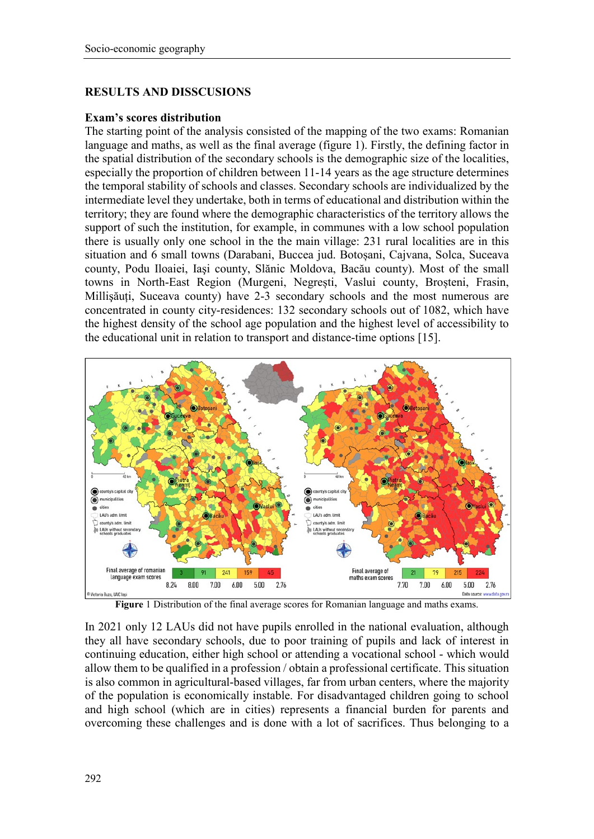## **RESULTS AND DISSCUSIONS**

#### **Exam's scores distribution**

The starting point of the analysis consisted of the mapping of the two exams: Romanian language and maths, as well as the final average (figure 1). Firstly, the defining factor in the spatial distribution of the secondary schools is the demographic size of the localities, especially the proportion of children between 11-14 years as the age structure determines the temporal stability of schools and classes. Secondary schools are individualized by the intermediate level they undertake, both in terms of educational and distribution within the territory; they are found where the demographic characteristics of the territory allows the support of such the institution, for example, in communes with a low school population there is usually only one school in the the main village: 231 rural localities are in this situation and 6 small towns (Darabani, Buccea jud. Botoșani, Cajvana, Solca, Suceava county, Podu Iloaiei, Iaşi county, Slănic Moldova, Bacău county). Most of the small towns in North-East Region (Murgeni, Negrești, Vaslui county, Broșteni, Frasin, Millişăuți, Suceava county) have 2-3 secondary schools and the most numerous are concentrated in county city-residences: 132 secondary schools out of 1082, which have the highest density of the school age population and the highest level of accessibility to the educational unit in relation to transport and distance-time options [15].



**Figure** 1 Distribution of the final average scores for Romanian language and maths exams.

In 2021 only 12 LAUs did not have pupils enrolled in the national evaluation, although they all have secondary schools, due to poor training of pupils and lack of interest in continuing education, either high school or attending a vocational school - which would allow them to be qualified in a profession / obtain a professional certificate. This situation is also common in agricultural-based villages, far from urban centers, where the majority of the population is economically instable. For disadvantaged children going to school and high school (which are in cities) represents a financial burden for parents and overcoming these challenges and is done with a lot of sacrifices. Thus belonging to a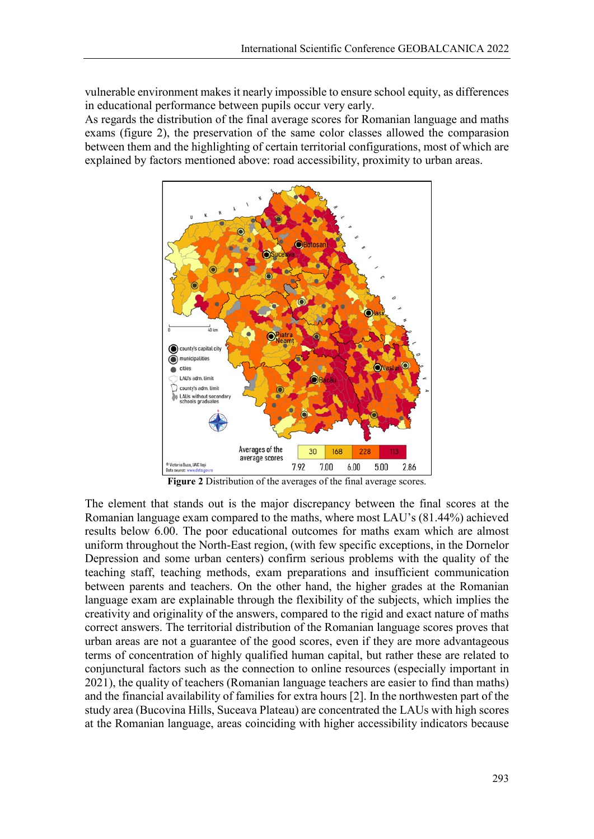vulnerable environment makes it nearly impossible to ensure school equity, as differences in educational performance between pupils occur very early.

As regards the distribution of the final average scores for Romanian language and maths exams (figure 2), the preservation of the same color classes allowed the comparasion between them and the highlighting of certain territorial configurations, most of which are explained by factors mentioned above: road accessibility, proximity to urban areas.



**Figure 2** Distribution of the averages of the final average scores.

The element that stands out is the major discrepancy between the final scores at the Romanian language exam compared to the maths, where most LAU's (81.44%) achieved results below 6.00. The poor educational outcomes for maths exam which are almost uniform throughout the North-East region, (with few specific exceptions, in the Dornelor Depression and some urban centers) confirm serious problems with the quality of the teaching staff, teaching methods, exam preparations and insufficient communication between parents and teachers. On the other hand, the higher grades at the Romanian language exam are explainable through the flexibility of the subjects, which implies the creativity and originality of the answers, compared to the rigid and exact nature of maths correct answers. The territorial distribution of the Romanian language scores proves that urban areas are not a guarantee of the good scores, even if they are more advantageous terms of concentration of highly qualified human capital, but rather these are related to conjunctural factors such as the connection to online resources (especially important in 2021), the quality of teachers (Romanian language teachers are easier to find than maths) and the financial availability of families for extra hours [2]. In the northwesten part of the study area (Bucovina Hills, Suceava Plateau) are concentrated the LAUs with high scores at the Romanian language, areas coinciding with higher accessibility indicators because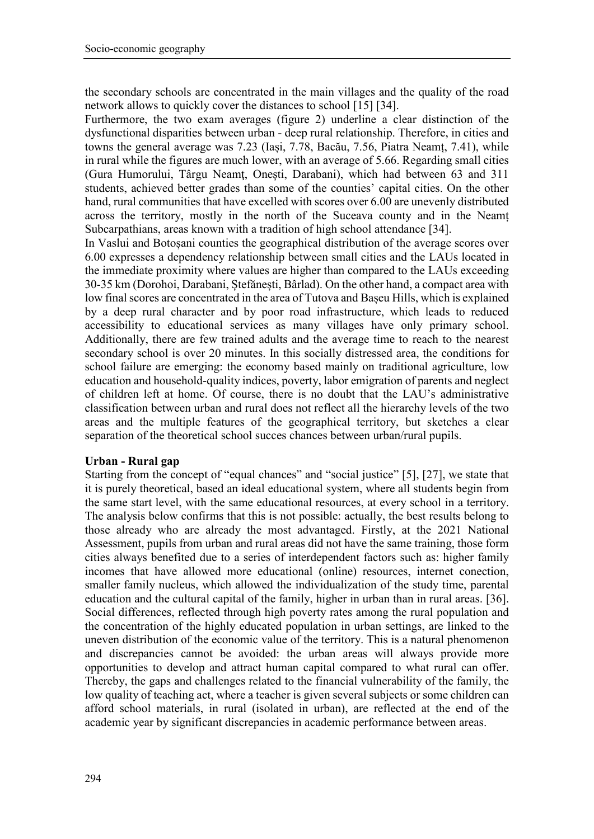the secondary schools are concentrated in the main villages and the quality of the road network allows to quickly cover the distances to school [15] [34].

Furthermore, the two exam averages (figure 2) underline a clear distinction of the dysfunctional disparities between urban - deep rural relationship. Therefore, in cities and towns the general average was 7.23 (Iași, 7.78, Bacău, 7.56, Piatra Neamț, 7.41), while in rural while the figures are much lower, with an average of 5.66. Regarding small cities (Gura Humorului, Târgu Neamţ, Onești, Darabani), which had between 63 and 311 students, achieved better grades than some of the counties' capital cities. On the other hand, rural communities that have excelled with scores over 6.00 are unevenly distributed across the territory, mostly in the north of the Suceava county and in the Neamț Subcarpathians, areas known with a tradition of high school attendance [34].

In Vaslui and Botoșani counties the geographical distribution of the average scores over 6.00 expresses a dependency relationship between small cities and the LAUs located in the immediate proximity where values are higher than compared to the LAUs exceeding 30-35 km (Dorohoi, Darabani, Ștefănești, Bârlad). On the other hand, a compact area with low final scores are concentrated in the area of Tutova and Bașeu Hills, which is explained by a deep rural character and by poor road infrastructure, which leads to reduced accessibility to educational services as many villages have only primary school. Additionally, there are few trained adults and the average time to reach to the nearest secondary school is over 20 minutes. In this socially distressed area, the conditions for school failure are emerging: the economy based mainly on traditional agriculture, low education and household-quality indices, poverty, labor emigration of parents and neglect of children left at home. Of course, there is no doubt that the LAU's administrative classification between urban and rural does not reflect all the hierarchy levels of the two areas and the multiple features of the geographical territory, but sketches a clear separation of the theoretical school succes chances between urban/rural pupils.

## **Urban - Rural gap**

Starting from the concept of "equal chances" and "social justice" [5], [27], we state that it is purely theoretical, based an ideal educational system, where all students begin from the same start level, with the same educational resources, at every school in a territory. The analysis below confirms that this is not possible: actually, the best results belong to those already who are already the most advantaged. Firstly, at the 2021 National Assessment, pupils from urban and rural areas did not have the same training, those form cities always benefited due to a series of interdependent factors such as: higher family incomes that have allowed more educational (online) resources, internet conection, smaller family nucleus, which allowed the individualization of the study time, parental education and the cultural capital of the family, higher in urban than in rural areas. [36]. Social differences, reflected through high poverty rates among the rural population and the concentration of the highly educated population in urban settings, are linked to the uneven distribution of the economic value of the territory. This is a natural phenomenon and discrepancies cannot be avoided: the urban areas will always provide more opportunities to develop and attract human capital compared to what rural can offer. Thereby, the gaps and challenges related to the financial vulnerability of the family, the low quality of teaching act, where a teacher is given several subjects or some children can afford school materials, in rural (isolated in urban), are reflected at the end of the academic year by significant discrepancies in academic performance between areas.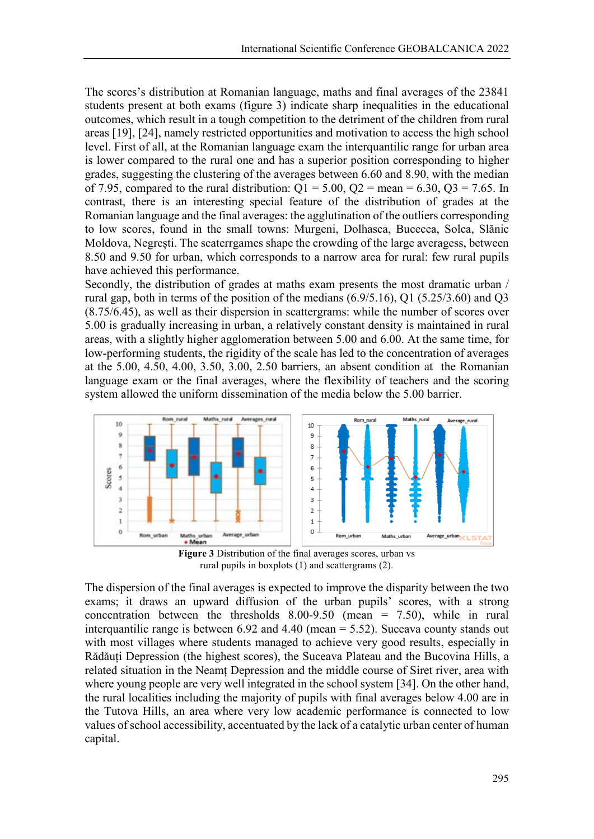The scores's distribution at Romanian language, maths and final averages of the 23841 students present at both exams (figure 3) indicate sharp inequalities in the educational outcomes, which result in a tough competition to the detriment of the children from rural areas [19], [24], namely restricted opportunities and motivation to access the high school level. First of all, at the Romanian language exam the interquantilic range for urban area is lower compared to the rural one and has a superior position corresponding to higher grades, suggesting the clustering of the averages between 6.60 and 8.90, with the median of 7.95, compared to the rural distribution:  $Q1 = 5.00$ ,  $Q2 = \text{mean} = 6.30$ ,  $Q3 = 7.65$ . In contrast, there is an interesting special feature of the distribution of grades at the Romanian language and the final averages: the agglutination of the outliers corresponding to low scores, found in the small towns: Murgeni, Dolhasca, Bucecea, Solca, Slănic Moldova, Negrești. The scaterrgames shape the crowding of the large averagess, between 8.50 and 9.50 for urban, which corresponds to a narrow area for rural: few rural pupils have achieved this performance.

Secondly, the distribution of grades at maths exam presents the most dramatic urban / rural gap, both in terms of the position of the medians (6.9/5.16), Q1 (5.25/3.60) and Q3 (8.75/6.45), as well as their dispersion in scattergrams: while the number of scores over 5.00 is gradually increasing in urban, a relatively constant density is maintained in rural areas, with a slightly higher agglomeration between 5.00 and 6.00. At the same time, for low-performing students, the rigidity of the scale has led to the concentration of averages at the 5.00, 4.50, 4.00, 3.50, 3.00, 2.50 barriers, an absent condition at the Romanian language exam or the final averages, where the flexibility of teachers and the scoring system allowed the uniform dissemination of the media below the 5.00 barrier.



**Figure 3** Distribution of the final averages scores, urban vs rural pupils in boxplots (1) and scattergrams (2).

The dispersion of the final averages is expected to improve the disparity between the two exams; it draws an upward diffusion of the urban pupils' scores, with a strong concentration between the thresholds  $8.00-9.50$  (mean = 7.50), while in rural interquantilic range is between 6.92 and 4.40 (mean = 5.52). Suceava county stands out with most villages where students managed to achieve very good results, especially in Rădăuți Depression (the highest scores), the Suceava Plateau and the Bucovina Hills, a related situation in the Neamț Depression and the middle course of Siret river, area with where young people are very well integrated in the school system [34]. On the other hand, the rural localities including the majority of pupils with final averages below 4.00 are in the Tutova Hills, an area where very low academic performance is connected to low values of school accessibility, accentuated by the lack of a catalytic urban center of human capital.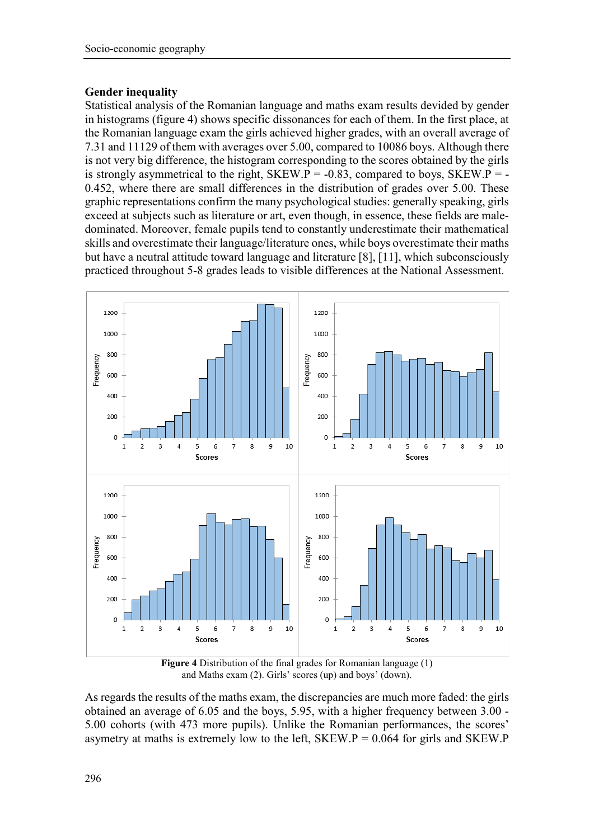# **Gender inequality**

Statistical analysis of the Romanian language and maths exam results devided by gender in histograms (figure 4) shows specific dissonances for each of them. In the first place, at the Romanian language exam the girls achieved higher grades, with an overall average of 7.31 and 11129 of them with averages over 5.00, compared to 10086 boys. Although there is not very big difference, the histogram corresponding to the scores obtained by the girls is strongly asymmetrical to the right,  $SKEW.P = -0.83$ , compared to boys,  $SKEW.P = -0.83$ 0.452, where there are small differences in the distribution of grades over 5.00. These graphic representations confirm the many psychological studies: generally speaking, girls exceed at subjects such as literature or art, even though, in essence, these fields are maledominated. Moreover, female pupils tend to constantly underestimate their mathematical skills and overestimate their language/literature ones, while boys overestimate their maths but have a neutral attitude toward language and literature [8], [11], which subconsciously practiced throughout 5-8 grades leads to visible differences at the National Assessment.



**Figure 4** Distribution of the final grades for Romanian language (1) and Maths exam (2). Girls' scores (up) and boys' (down).

As regards the results of the maths exam, the discrepancies are much more faded: the girls obtained an average of 6.05 and the boys, 5.95, with a higher frequency between 3.00 - 5.00 cohorts (with 473 more pupils). Unlike the Romanian performances, the scores' asymetry at maths is extremely low to the left,  $SKEW.P = 0.064$  for girls and  $SKEW.P$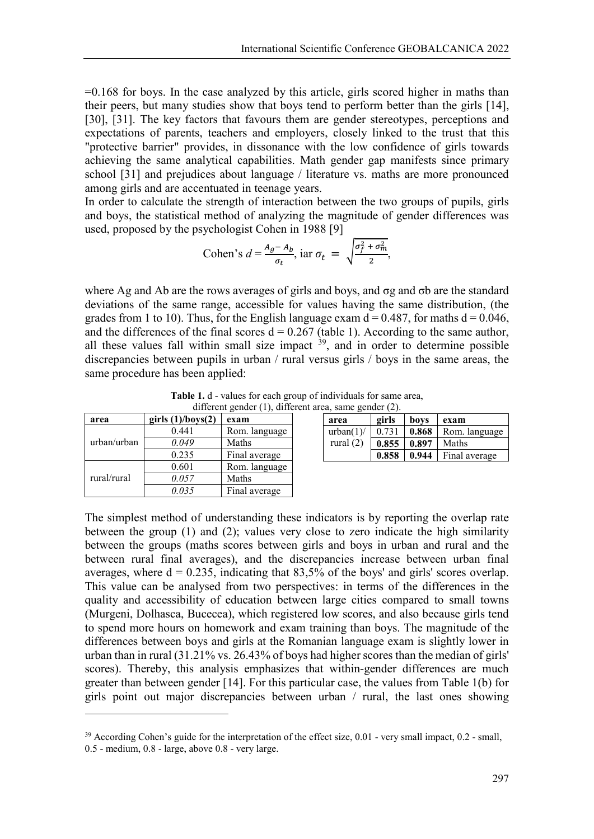=0.168 for boys. In the case analyzed by this article, girls scored higher in maths than their peers, but many studies show that boys tend to perform better than the girls [14], [30], [31]. The key factors that favours them are gender stereotypes, perceptions and expectations of parents, teachers and employers, closely linked to the trust that this "protective barrier" provides, in dissonance with the low confidence of girls towards achieving the same analytical capabilities. Math gender gap manifests since primary school [31] and prejudices about language / literature vs. maths are more pronounced among girls and are accentuated in teenage years.

In order to calculate the strength of interaction between the two groups of pupils, girls and boys, the statistical method of analyzing the magnitude of gender differences was used, proposed by the psychologist Cohen in 1988 [9]

Cohen's 
$$
d = \frac{A_g - A_b}{\sigma_t}
$$
, iar  $\sigma_t = \sqrt{\frac{\sigma_f^2 + \sigma_m^2}{2}}$ ,

where Ag and Ab are the rows averages of girls and boys, and σg and σb are the standard deviations of the same range, accessible for values having the same distribution, (the grades from 1 to 10). Thus, for the English language exam  $d = 0.487$ , for maths  $d = 0.046$ , and the differences of the final scores  $d = 0.267$  (table 1). According to the same author, all these values fall within small size impact  $39$ , and in order to determine possible discrepancies between pupils in urban / rural versus girls / boys in the same areas, the same procedure has been applied:

| area        | girls $(1)/$ boys $(2)$ | exam          |
|-------------|-------------------------|---------------|
| urban/urban | 0.441                   | Rom. language |
|             | 0.049                   | Maths         |
|             | 0.235                   | Final average |
| rural/rural | 0.601                   | Rom. language |
|             | 0.057                   | Maths         |
|             | 0.035                   | Final average |

| <b>Table 1.</b> d - values for each group of individuals for same area, |
|-------------------------------------------------------------------------|
| different gender $(1)$ , different area, same gender $(2)$ .            |

| area        | girls | boys  | exam          |
|-------------|-------|-------|---------------|
| urban(1)    | 0.731 | 0.868 | Rom. language |
| rural $(2)$ | 0.855 | 0.897 | Maths         |
|             | 0.858 | 0.944 | Final average |

The simplest method of understanding these indicators is by reporting the overlap rate between the group (1) and (2); values very close to zero indicate the high similarity between the groups (maths scores between girls and boys in urban and rural and the between rural final averages), and the discrepancies increase between urban final averages, where  $d = 0.235$ , indicating that 83,5% of the boys' and girls' scores overlap. This value can be analysed from two perspectives: in terms of the differences in the quality and accessibility of education between large cities compared to small towns (Murgeni, Dolhasca, Bucecea), which registered low scores, and also because girls tend to spend more hours on homework and exam training than boys. The magnitude of the differences between boys and girls at the Romanian language exam is slightly lower in urban than in rural (31.21% vs. 26.43% of boys had higher scores than the median of girls' scores). Thereby, this analysis emphasizes that within-gender differences are much greater than between gender [14]. For this particular case, the values from Table 1(b) for girls point out major discrepancies between urban / rural, the last ones showing

**.** 

<span id="page-8-0"></span><sup>&</sup>lt;sup>39</sup> According Cohen's guide for the interpretation of the effect size, 0.01 - very small impact, 0.2 - small,

<sup>0.5 -</sup> medium, 0.8 - large, above 0.8 - very large.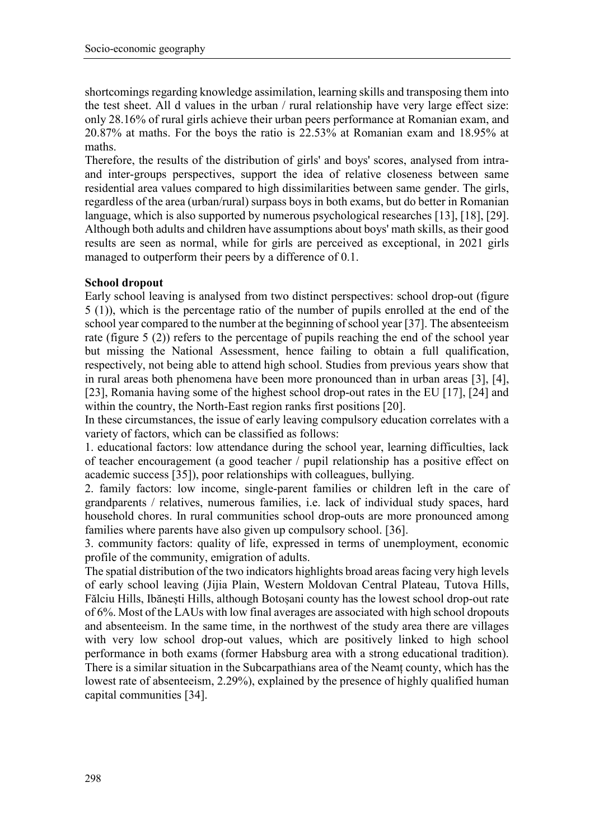shortcomings regarding knowledge assimilation, learning skills and transposing them into the test sheet. All d values in the urban / rural relationship have very large effect size: only 28.16% of rural girls achieve their urban peers performance at Romanian exam, and 20.87% at maths. For the boys the ratio is 22.53% at Romanian exam and 18.95% at maths.

Therefore, the results of the distribution of girls' and boys' scores, analysed from intraand inter-groups perspectives, support the idea of relative closeness between same residential area values compared to high dissimilarities between same gender. The girls, regardless of the area (urban/rural) surpass boys in both exams, but do better in Romanian language, which is also supported by numerous psychological researches [13], [18], [29]. Although both adults and children have assumptions about boys' math skills, as their good results are seen as normal, while for girls are perceived as exceptional, in 2021 girls managed to outperform their peers by a difference of 0.1.

# **School dropout**

Early school leaving is analysed from two distinct perspectives: school drop-out (figure 5 (1)), which is the percentage ratio of the number of pupils enrolled at the end of the school year compared to the number at the beginning of school year [37]. The absenteeism rate (figure 5 (2)) refers to the percentage of pupils reaching the end of the school year but missing the National Assessment, hence failing to obtain a full qualification, respectively, not being able to attend high school. Studies from previous years show that in rural areas both phenomena have been more pronounced than in urban areas [3], [4], [23], Romania having some of the highest school drop-out rates in the EU [17], [24] and within the country, the North-East region ranks first positions [20].

In these circumstances, the issue of early leaving compulsory education correlates with a variety of factors, which can be classified as follows:

1. educational factors: low attendance during the school year, learning difficulties, lack of teacher encouragement (a good teacher / pupil relationship has a positive effect on academic success [35]), poor relationships with colleagues, bullying.

2. family factors: low income, single-parent families or children left in the care of grandparents / relatives, numerous families, i.e. lack of individual study spaces, hard household chores. In rural communities school drop-outs are more pronounced among families where parents have also given up compulsory school. [36].

3. community factors: quality of life, expressed in terms of unemployment, economic profile of the community, emigration of adults.

The spatial distribution of the two indicators highlights broad areas facing very high levels of early school leaving (Jijia Plain, Western Moldovan Central Plateau, Tutova Hills, Fălciu Hills, Ibănești Hills, although Botoșani county has the lowest school drop-out rate of 6%. Most of the LAUs with low final averages are associated with high school dropouts and absenteeism. In the same time, in the northwest of the study area there are villages with very low school drop-out values, which are positively linked to high school performance in both exams (former Habsburg area with a strong educational tradition). There is a similar situation in the Subcarpathians area of the Neamț county, which has the lowest rate of absenteeism, 2.29%), explained by the presence of highly qualified human capital communities [34].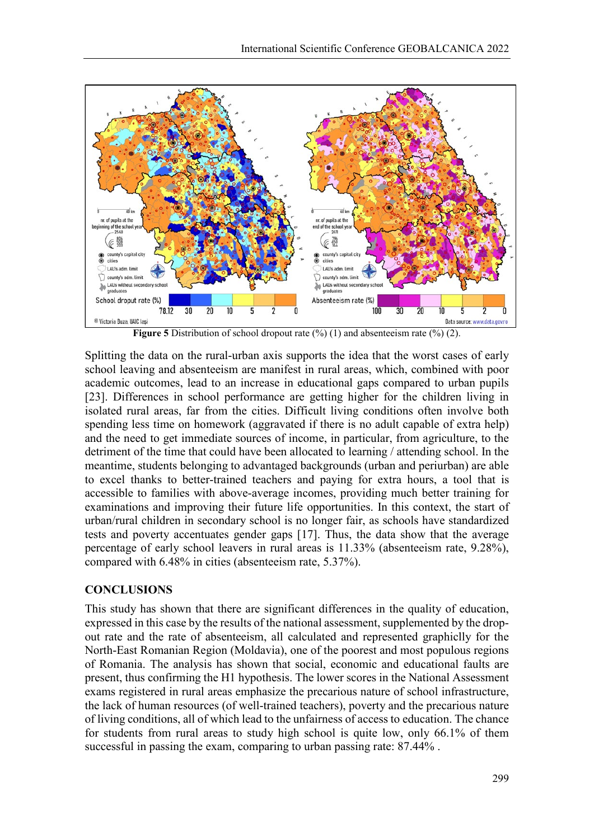

**Figure 5** Distribution of school dropout rate (%) (1) and absenteeism rate (%) (2).

Splitting the data on the rural-urban axis supports the idea that the worst cases of early school leaving and absenteeism are manifest in rural areas, which, combined with poor academic outcomes, lead to an increase in educational gaps compared to urban pupils [23]. Differences in school performance are getting higher for the children living in isolated rural areas, far from the cities. Difficult living conditions often involve both spending less time on homework (aggravated if there is no adult capable of extra help) and the need to get immediate sources of income, in particular, from agriculture, to the detriment of the time that could have been allocated to learning / attending school. In the meantime, students belonging to advantaged backgrounds (urban and periurban) are able to excel thanks to better-trained teachers and paying for extra hours, a tool that is accessible to families with above-average incomes, providing much better training for examinations and improving their future life opportunities. In this context, the start of urban/rural children in secondary school is no longer fair, as schools have standardized tests and poverty accentuates gender gaps [17]. Thus, the data show that the average percentage of early school leavers in rural areas is 11.33% (absenteeism rate, 9.28%), compared with 6.48% in cities (absenteeism rate, 5.37%).

## **CONCLUSIONS**

This study has shown that there are significant differences in the quality of education, expressed in this case by the results of the national assessment, supplemented by the dropout rate and the rate of absenteeism, all calculated and represented graphiclly for the North-East Romanian Region (Moldavia), one of the poorest and most populous regions of Romania. The analysis has shown that social, economic and educational faults are present, thus confirming the H1 hypothesis. The lower scores in the National Assessment exams registered in rural areas emphasize the precarious nature of school infrastructure, the lack of human resources (of well-trained teachers), poverty and the precarious nature of living conditions, all of which lead to the unfairness of access to education. The chance for students from rural areas to study high school is quite low, only 66.1% of them successful in passing the exam, comparing to urban passing rate: 87.44% .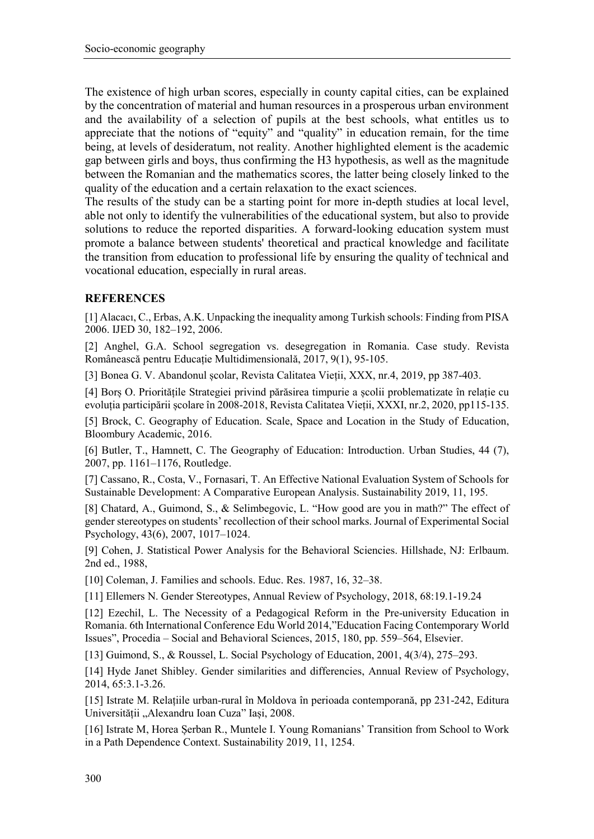The existence of high urban scores, especially in county capital cities, can be explained by the concentration of material and human resources in a prosperous urban environment and the availability of a selection of pupils at the best schools, what entitles us to appreciate that the notions of "equity" and "quality" in education remain, for the time being, at levels of desideratum, not reality. Another highlighted element is the academic gap between girls and boys, thus confirming the H3 hypothesis, as well as the magnitude between the Romanian and the mathematics scores, the latter being closely linked to the quality of the education and a certain relaxation to the exact sciences.

The results of the study can be a starting point for more in-depth studies at local level, able not only to identify the vulnerabilities of the educational system, but also to provide solutions to reduce the reported disparities. A forward-looking education system must promote a balance between students' theoretical and practical knowledge and facilitate the transition from education to professional life by ensuring the quality of technical and vocational education, especially in rural areas.

## **REFERENCES**

[1] Alacacı, C., Erbas, A.K. Unpacking the inequality among Turkish schools: Finding from PISA 2006. IJED 30, 182–192, 2006.

[2] Anghel, G.A. School segregation vs. desegregation in Romania. Case study. Revista Românească pentru Educație Multidimensională, 2017, 9(1), 95-105.

[3] Bonea G. V. Abandonul școlar, Revista Calitatea Vieții, XXX, nr.4, 2019, pp 387-403.

[4] Borș O. Prioritățile Strategiei privind părăsirea timpurie a școlii problematizate în relație cu evoluția participării școlare în 2008-2018, Revista Calitatea Vieții, XXXI, nr.2, 2020, pp115-135.

[5] Brock, C. Geography of Education. Scale, Space and Location in the Study of Education, Bloombury Academic, 2016.

[6] Butler, T., Hamnett, C. The Geography of Education: Introduction. Urban Studies, 44 (7), 2007, pp. 1161–1176, Routledge.

[7] Cassano, R., Costa, V., Fornasari, T. An Effective National Evaluation System of Schools for Sustainable Development: A Comparative European Analysis. Sustainability 2019, 11, 195.

[8] Chatard, A., Guimond, S., & Selimbegovic, L. "How good are you in math?" The effect of gender stereotypes on students' recollection of their school marks. Journal of Experimental Social Psychology, 43(6), 2007, 1017–1024.

[9] Cohen, J. Statistical Power Analysis for the Behavioral Sciencies. Hillshade, NJ: Erlbaum. 2nd ed., 1988,

[10] Coleman, J. Families and schools. Educ. Res. 1987, 16, 32–38.

[11] Ellemers N. Gender Stereotypes, Annual Review of Psychology, 2018, 68:19.1-19.24

[12] Ezechil, L. The Necessity of a Pedagogical Reform in the Pre-university Education in Romania. 6th International Conference Edu World 2014,"Education Facing Contemporary World Issues", Procedia – Social and Behavioral Sciences, 2015, 180, pp. 559–564, Elsevier.

[13] Guimond, S., & Roussel, L. Social Psychology of Education, 2001, 4(3/4), 275–293.

[14] Hyde Janet Shibley. Gender similarities and differencies, Annual Review of Psychology, 2014, 65:3.1-3.26.

[15] Istrate M. Relațiile urban-rural în Moldova în perioada contemporană, pp 231-242, Editura Universității "Alexandru Ioan Cuza" Iași, 2008.

[16] Istrate M, Horea Șerban R., Muntele I. Young Romanians' Transition from School to Work in a Path Dependence Context. Sustainability 2019, 11, 1254.